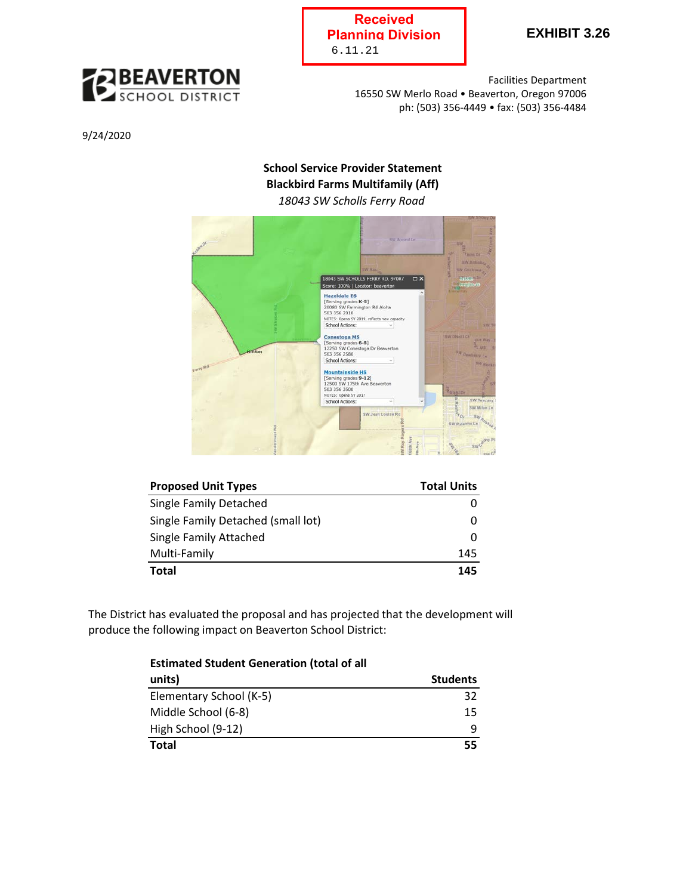**Received Planning Division** 6.11.21

**EXHIBIT 3.26**



Facilities Department 16550 SW Merlo Road • Beaverton, Oregon 97006 ph: (503) 356-4449 • fax: (503) 356-4484

9/24/2020

## **School Service Provider Statement Blackbird Farms Multifamily (Aff)** *18043 SW Scholls Ferry Road*



| <b>Proposed Unit Types</b>         | <b>Total Units</b> |
|------------------------------------|--------------------|
| Single Family Detached             | O                  |
| Single Family Detached (small lot) | 0                  |
| Single Family Attached             | Ω                  |
| Multi-Family                       | 145                |
| Total                              | 145                |

The District has evaluated the proposal and has projected that the development will produce the following impact on Beaverton School District:

|  | <b>Estimated Student Generation (total of all</b> |  |
|--|---------------------------------------------------|--|
|  |                                                   |  |

| units)                  | <b>Students</b> |
|-------------------------|-----------------|
| Elementary School (K-5) | 32              |
| Middle School (6-8)     | 15              |
| High School (9-12)      |                 |
| <b>Total</b>            | 55              |